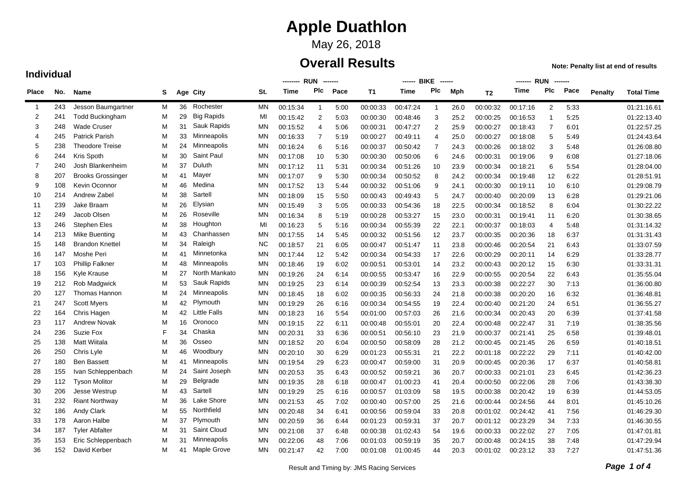## May 26, 2018

### **Overall Results**

**Note: Penalty list at end of results**

|                |     |                          |   |    |                     | -------- RUN<br>-------- |             |             |      |           | ------ BIKE | -------                 |      | <b>RUN</b><br>------- |          |                |      |         |                   |
|----------------|-----|--------------------------|---|----|---------------------|--------------------------|-------------|-------------|------|-----------|-------------|-------------------------|------|-----------------------|----------|----------------|------|---------|-------------------|
| <b>Place</b>   | No. | <b>Name</b>              | S |    | Age City            | St.                      | <b>Time</b> | Plc         | Pace | <b>T1</b> | <b>Time</b> | Plc                     | Mph  | T <sub>2</sub>        | Time     | Plc            | Pace | Penalty | <b>Total Time</b> |
| $\overline{1}$ | 243 | Jesson Baumgartner       | м | 36 | Rochester           | ΜN                       | 00:15:34    | $\mathbf 1$ | 5:00 | 00:00:33  | 00:47:24    | -1                      | 26.0 | 00:00:32              | 00:17:16 | 2              | 5:33 |         | 01:21:16.61       |
| 2              | 241 | <b>Todd Buckingham</b>   | M | 29 | <b>Big Rapids</b>   | MI                       | 00:15:42    | 2           | 5:03 | 00:00:30  | 00:48:46    | 3                       | 25.2 | 00:00:25              | 00:16:53 | 1              | 5:25 |         | 01:22:13.40       |
| 3              | 248 | <b>Wade Cruser</b>       | M | 31 | Sauk Rapids         | <b>MN</b>                | 00:15:52    | 4           | 5:06 | 00:00:31  | 00:47:27    | $\overline{\mathbf{c}}$ | 25.9 | 00:00:27              | 00:18:43 | 7              | 6:01 |         | 01:22:57.25       |
| 4              | 245 | <b>Patrick Parish</b>    | M | 33 | Minneapolis         | <b>MN</b>                | 00:16:33    | 7           | 5:19 | 00:00:27  | 00:49:11    | 4                       | 25.0 | 00:00:27              | 00:18:08 | 5              | 5:49 |         | 01:24:43.64       |
| 5              | 238 | <b>Theodore Treise</b>   | м | 24 | Minneapolis         | <b>MN</b>                | 00:16:24    | 6           | 5:16 | 00:00:37  | 00:50:42    | $\overline{7}$          | 24.3 | 00:00:26              | 00:18:02 | 3              | 5:48 |         | 01:26:08.80       |
| 6              | 244 | Kris Spoth               | м | 30 | Saint Paul          | <b>MN</b>                | 00:17:08    | 10          | 5:30 | 00:00:30  | 00:50:06    | 6                       | 24.6 | 00:00:31              | 00:19:06 | 9              | 6:08 |         | 01:27:18.06       |
| $\overline{7}$ | 240 | Josh Blankenheim         | M | 37 | Duluth              | MN                       | 00:17:12    | 11          | 5:31 | 00:00:34  | 00:51:26    | 10                      | 23.9 | 00:00:34              | 00:18:21 | 6              | 5:54 |         | 01:28:04.00       |
| 8              | 207 | <b>Brooks Grossinger</b> | м | 41 | Mayer               | <b>MN</b>                | 00:17:07    | 9           | 5:30 | 00:00:34  | 00:50:52    | 8                       | 24.2 | 00:00:34              | 00:19:48 | 12             | 6:22 |         | 01:28:51.91       |
| 9              | 108 | Kevin Oconnor            | м | 46 | Medina              | <b>MN</b>                | 00:17:52    | 13          | 5:44 | 00:00:32  | 00:51:06    | 9                       | 24.1 | 00:00:30              | 00:19:11 | 10             | 6:10 |         | 01:29:08.79       |
| 10             | 214 | Andrew Zabel             | M | 38 | Sartell             | <b>MN</b>                | 00:18:09    | 15          | 5:50 | 00:00:43  | 00:49:43    | 5                       | 24.7 | 00:00:40              | 00:20:09 | 13             | 6:28 |         | 01:29:21.06       |
| 11             | 239 | Jake Braam               | м | 26 | Elysian             | <b>MN</b>                | 00:15:49    | 3           | 5:05 | 00:00:33  | 00:54:36    | 18                      | 22.5 | 00:00:34              | 00:18:52 | 8              | 6:04 |         | 01:30:22.22       |
| 12             | 249 | Jacob Olsen              | м | 26 | Roseville           | <b>MN</b>                | 00:16:34    | 8           | 5:19 | 00:00:28  | 00:53:27    | 15                      | 23.0 | 00:00:31              | 00:19:41 | 11             | 6:20 |         | 01:30:38.65       |
| 13             | 246 | <b>Stephen Eles</b>      | M | 38 | Houghton            | MI                       | 00:16:23    | 5           | 5:16 | 00:00:34  | 00:55:39    | 22                      | 22.1 | 00:00:37              | 00:18:03 | $\overline{4}$ | 5:48 |         | 01:31:14.32       |
| 14             | 213 | Mike Buenting            | M | 43 | Chanhassen          | <b>MN</b>                | 00:17:55    | 14          | 5:45 | 00:00:32  | 00:51:56    | 12                      | 23.7 | 00:00:35              | 00:20:36 | 18             | 6:37 |         | 01:31:31.43       |
| 15             | 148 | <b>Brandon Knettel</b>   | M | 34 | Raleigh             | <b>NC</b>                | 00:18:57    | 21          | 6:05 | 00:00:47  | 00:51:47    | 11                      | 23.8 | 00:00:46              | 00:20:54 | 21             | 6:43 |         | 01:33:07.59       |
| 16             | 147 | Moshe Peri               | м | 41 | Minnetonka          | <b>MN</b>                | 00:17:44    | 12          | 5:42 | 00:00:34  | 00:54:33    | 17                      | 22.6 | 00:00:29              | 00:20:11 | 14             | 6:29 |         | 01:33:28.77       |
| 17             | 103 | <b>Phillip Falkner</b>   | м | 48 | Minneapolis         | <b>MN</b>                | 00:18:46    | 19          | 6:02 | 00:00:51  | 00:53:01    | 14                      | 23.2 | 00:00:43              | 00:20:12 | 15             | 6:30 |         | 01:33:31.31       |
| 18             | 156 | Kyle Krause              | м | 27 | North Mankato       | <b>MN</b>                | 00:19:26    | 24          | 6:14 | 00:00:55  | 00:53:47    | 16                      | 22.9 | 00:00:55              | 00:20:54 | 22             | 6:43 |         | 01:35:55.04       |
| 19             | 212 | Rob Madgwick             | M | 53 | Sauk Rapids         | <b>MN</b>                | 00:19:25    | 23          | 6:14 | 00:00:39  | 00:52:54    | 13                      | 23.3 | 00:00:38              | 00:22:27 | 30             | 7:13 |         | 01:36:00.80       |
| 20             | 127 | Thomas Hannon            | м | 24 | Minneapolis         | <b>MN</b>                | 00:18:45    | 18          | 6:02 | 00:00:35  | 00:56:33    | 24                      | 21.8 | 00:00:38              | 00:20:20 | 16             | 6:32 |         | 01:36:48.81       |
| 21             | 247 | <b>Scott Myers</b>       | м | 42 | Plymouth            | <b>MN</b>                | 00:19:29    | 26          | 6:16 | 00:00:34  | 00:54:55    | 19                      | 22.4 | 00:00:40              | 00:21:20 | 24             | 6:51 |         | 01:36:55.27       |
| 22             | 164 | Chris Hagen              | м | 42 | <b>Little Falls</b> | <b>MN</b>                | 00:18:23    | 16          | 5:54 | 00:01:00  | 00:57:03    | 26                      | 21.6 | 00:00:34              | 00:20:43 | 20             | 6:39 |         | 01:37:41.58       |
| 23             | 117 | <b>Andrew Novak</b>      | M | 16 | Oronoco             | <b>MN</b>                | 00:19:15    | 22          | 6:11 | 00:00:48  | 00:55:01    | 20                      | 22.4 | 00:00:48              | 00:22:47 | 31             | 7:19 |         | 01:38:35.56       |
| 24             | 236 | Suzie Fox                | F | 34 | Chaska              | <b>MN</b>                | 00:20:31    | 33          | 6:36 | 00:00:51  | 00:56:10    | 23                      | 21.9 | 00:00:37              | 00:21:41 | 25             | 6:58 |         | 01:39:48.01       |
| 25             | 138 | Matt Wiitala             | M | 36 | Osseo               | <b>MN</b>                | 00:18:52    | 20          | 6:04 | 00:00:50  | 00:58:09    | 28                      | 21.2 | 00:00:45              | 00:21:45 | 26             | 6:59 |         | 01:40:18.51       |
| 26             | 250 | Chris Lyle               | M | 46 | Woodbury            | <b>MN</b>                | 00:20:10    | 30          | 6:29 | 00:01:23  | 00:55:31    | 21                      | 22.2 | 00:01:18              | 00:22:22 | 29             | 7:11 |         | 01:40:42.00       |
| 27             | 180 | <b>Ben Bassett</b>       | M | 41 | Minneapolis         | <b>MN</b>                | 00:19:54    | 29          | 6:23 | 00:00:47  | 00:59:00    | 31                      | 20.9 | 00:00:45              | 00:20:36 | 17             | 6:37 |         | 01:40:58.81       |
| 28             | 155 | Ivan Schleppenbach       | м | 24 | Saint Joseph        | <b>MN</b>                | 00:20:53    | 35          | 6:43 | 00:00:52  | 00:59:21    | 36                      | 20.7 | 00:00:33              | 00:21:01 | 23             | 6:45 |         | 01:42:36.23       |
| 29             | 112 | <b>Tyson Molitor</b>     | м | 29 | <b>Belgrade</b>     | <b>MN</b>                | 00:19:35    | 28          | 6:18 | 00:00:47  | 01:00:23    | 41                      | 20.4 | 00:00:50              | 00:22:06 | 28             | 7:06 |         | 01:43:38.30       |
| 30             | 206 | <b>Jesse Westrup</b>     | M | 43 | Sartell             | <b>MN</b>                | 00:19:29    | 25          | 6:16 | 00:00:57  | 01:03:09    | 58                      | 19.5 | 00:00:38              | 00:20:42 | 19             | 6:39 |         | 01:44:53.05       |
| 31             | 232 | <b>Riant Northway</b>    | M | 36 | Lake Shore          | <b>MN</b>                | 00:21:53    | 45          | 7:02 | 00:00:40  | 00:57:00    | 25                      | 21.6 | 00:00:44              | 00:24:56 | 44             | 8:01 |         | 01:45:10.26       |
| 32             | 186 | <b>Andy Clark</b>        | м | 55 | Northfield          | <b>MN</b>                | 00:20:48    | 34          | 6:41 | 00:00:56  | 00:59:04    | 33                      | 20.8 | 00:01:02              | 00:24:42 | 41             | 7:56 |         | 01:46:29.30       |
| 33             | 178 | Aaron Halbe              | м | 37 | Plymouth            | <b>MN</b>                | 00:20:59    | 36          | 6:44 | 00:01:23  | 00:59:31    | 37                      | 20.7 | 00:01:12              | 00:23:29 | 34             | 7:33 |         | 01:46:30.55       |
| 34             | 187 | <b>Tyler Abfalter</b>    | М | 31 | Saint Cloud         | <b>MN</b>                | 00:21:08    | 37          | 6:48 | 00:00:38  | 01:02:43    | 54                      | 19.6 | 00:00:33              | 00:22:02 | 27             | 7:05 |         | 01:47:01.81       |
| 35             | 153 | Eric Schleppenbach       | М | 31 | Minneapolis         | <b>MN</b>                | 00:22:06    | 48          | 7:06 | 00:01:03  | 00:59:19    | 35                      | 20.7 | 00:00:48              | 00:24:15 | 38             | 7:48 |         | 01:47:29.94       |
| 36             | 152 | David Kerber             | М | 41 | Maple Grove         | <b>MN</b>                | 00:21:47    | 42          | 7:00 | 00:01:08  | 01:00:45    | 44                      | 20.3 | 00:01:02              | 00:23:12 | 33             | 7:27 |         | 01:47:51.36       |

#### **Individual**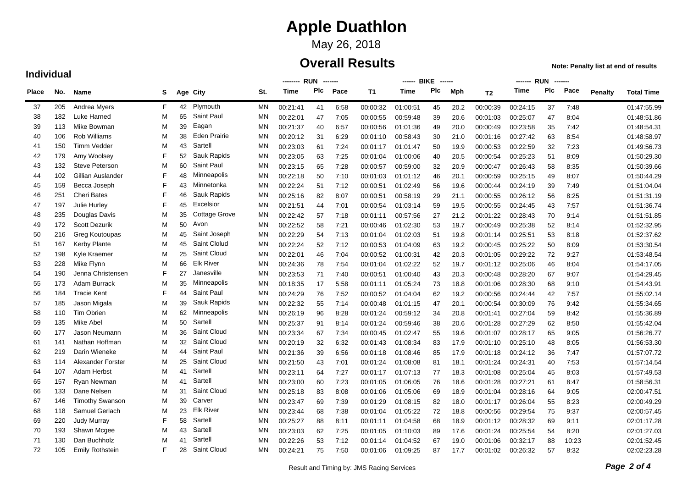## May 26, 2018

### **Overall Results**

**Note: Penalty list at end of results**

|       |     |                        |    |    | <b>RUN</b><br>--------<br>-------- |           |             |     | ------ BIKE<br>------ |           |             |     |      | <b>RUN</b>     |          |     |       |         |                   |
|-------|-----|------------------------|----|----|------------------------------------|-----------|-------------|-----|-----------------------|-----------|-------------|-----|------|----------------|----------|-----|-------|---------|-------------------|
| Place | No. | Name                   | s  |    | Age City                           | St.       | <b>Time</b> | Plc | Pace                  | <b>T1</b> | <b>Time</b> | Plc | Mph  | T <sub>2</sub> | Time     | Plc | Pace  | Penalty | <b>Total Time</b> |
| 37    | 205 | Andrea Myers           | F. | 42 | Plymouth                           | ΜN        | 00:21:41    | 41  | 6:58                  | 00:00:32  | 01:00:51    | 45  | 20.2 | 00:00:39       | 00:24:15 | 37  | 7:48  |         | 01:47:55.99       |
| 38    | 182 | Luke Harned            | M  | 65 | <b>Saint Paul</b>                  | MN        | 00:22:01    | 47  | 7:05                  | 00:00:55  | 00:59:48    | 39  | 20.6 | 00:01:03       | 00:25:07 | 47  | 8:04  |         | 01:48:51.86       |
| 39    | 113 | Mike Bowman            | м  | 39 | Eagan                              | ΜN        | 00:21:37    | 40  | 6:57                  | 00:00:56  | 01:01:36    | 49  | 20.0 | 00:00:49       | 00:23:58 | 35  | 7:42  |         | 01:48:54.31       |
| 40    | 106 | <b>Rob Williams</b>    | M  | 38 | <b>Eden Prairie</b>                | ΜN        | 00:20:12    | 31  | 6:29                  | 00:01:10  | 00:58:43    | 30  | 21.0 | 00:01:16       | 00:27:42 | 63  | 8:54  |         | 01:48:58.97       |
| 41    | 150 | <b>Timm Vedder</b>     | M  | 43 | Sartell                            | ΜN        | 00:23:03    | 61  | 7:24                  | 00:01:17  | 01:01:47    | 50  | 19.9 | 00:00:53       | 00:22:59 | 32  | 7:23  |         | 01:49:56.73       |
| 42    | 179 | Amy Woolsey            | F  | 52 | Sauk Rapids                        | <b>MN</b> | 00:23:05    | 63  | 7:25                  | 00:01:04  | 01:00:06    | 40  | 20.5 | 00:00:54       | 00:25:23 | 51  | 8:09  |         | 01:50:29.30       |
| 43    | 132 | <b>Steve Peterson</b>  | M  | 60 | Saint Paul                         | <b>MN</b> | 00:23:15    | 65  | 7:28                  | 00:00:57  | 00:59:00    | 32  | 20.9 | 00:00:47       | 00:26:43 | 58  | 8:35  |         | 01:50:39.66       |
| 44    | 102 | Gillian Auslander      | F  | 48 | Minneapolis                        | ΜN        | 00:22:18    | 50  | 7:10                  | 00:01:03  | 01:01:12    | 46  | 20.1 | 00:00:59       | 00:25:15 | 49  | 8:07  |         | 01:50:44.29       |
| 45    | 159 | Becca Joseph           | F  | 43 | Minnetonka                         | ΜN        | 00:22:24    | 51  | 7:12                  | 00:00:51  | 01:02:49    | 56  | 19.6 | 00:00:44       | 00:24:19 | 39  | 7:49  |         | 01:51:04.04       |
| 46    | 251 | Cheri Bates            | F  | 46 | Sauk Rapids                        | MN        | 00:25:16    | 82  | 8:07                  | 00:00:51  | 00:58:19    | 29  | 21.1 | 00:00:55       | 00:26:12 | 56  | 8:25  |         | 01:51:31.19       |
| 47    | 197 | Julie Hurley           | F  | 45 | Excelsior                          | MN        | 00:21:51    | 44  | 7:01                  | 00:00:54  | 01:03:14    | 59  | 19.5 | 00:00:55       | 00:24:45 | 43  | 7:57  |         | 01:51:36.74       |
| 48    | 235 | Douglas Davis          | м  | 35 | <b>Cottage Grove</b>               | ΜN        | 00:22:42    | 57  | 7:18                  | 00:01:11  | 00:57:56    | 27  | 21.2 | 00:01:22       | 00:28:43 | 70  | 9:14  |         | 01:51:51.85       |
| 49    | 172 | <b>Scott Dezurik</b>   | м  | 50 | Avon                               | ΜN        | 00:22:52    | 58  | 7:21                  | 00:00:46  | 01:02:30    | 53  | 19.7 | 00:00:49       | 00:25:38 | 52  | 8:14  |         | 01:52:32.95       |
| 50    | 216 | Greg Koutoupas         | М  | 45 | Saint Joseph                       | <b>MN</b> | 00:22:29    | 54  | 7:13                  | 00:01:04  | 01:02:03    | 51  | 19.8 | 00:01:14       | 00:25:51 | 53  | 8:18  |         | 01:52:37.62       |
| 51    | 167 | Kerby Plante           | М  | 45 | Saint Clolud                       | <b>MN</b> | 00:22:24    | 52  | 7:12                  | 00:00:53  | 01:04:09    | 63  | 19.2 | 00:00:45       | 00:25:22 | 50  | 8:09  |         | 01:53:30.54       |
| 52    | 198 | Kyle Kraemer           | М  | 25 | Saint Cloud                        | <b>MN</b> | 00:22:01    | 46  | 7:04                  | 00:00:52  | 01:00:31    | 42  | 20.3 | 00:01:05       | 00:29:22 | 72  | 9:27  |         | 01:53:48.54       |
| 53    | 228 | Mike Flynn             | М  | 66 | <b>Elk River</b>                   | ΜN        | 00:24:36    | 78  | 7:54                  | 00:01:04  | 01:02:22    | 52  | 19.7 | 00:01:12       | 00:25:06 | 46  | 8:04  |         | 01:54:17.05       |
| 54    | 190 | Jenna Christensen      | F  | 27 | Janesville                         | MN        | 00:23:53    | 71  | 7:40                  | 00:00:51  | 01:00:40    | 43  | 20.3 | 00:00:48       | 00:28:20 | 67  | 9:07  |         | 01:54:29.45       |
| 55    | 173 | Adam Burrack           | м  | 35 | Minneapolis                        | MN        | 00:18:35    | 17  | 5:58                  | 00:01:11  | 01:05:24    | 73  | 18.8 | 00:01:06       | 00:28:30 | 68  | 9:10  |         | 01:54:43.91       |
| 56    | 184 | <b>Tracie Kent</b>     | F  | 44 | Saint Paul                         | ΜN        | 00:24:29    | 76  | 7:52                  | 00:00:52  | 01:04:04    | 62  | 19.2 | 00:00:56       | 00:24:44 | 42  | 7:57  |         | 01:55:02.14       |
| 57    | 185 | Jason Migala           | м  | 39 | Sauk Rapids                        | ΜN        | 00:22:32    | 55  | 7:14                  | 00:00:48  | 01:01:15    | 47  | 20.1 | 00:00:54       | 00:30:09 | 76  | 9:42  |         | 01:55:34.65       |
| 58    | 110 | <b>Tim Obrien</b>      | M  | 62 | Minneapolis                        | <b>MN</b> | 00:26:19    | 96  | 8:28                  | 00:01:24  | 00:59:12    | 34  | 20.8 | 00:01:41       | 00:27:04 | 59  | 8:42  |         | 01:55:36.89       |
| 59    | 135 | Mike Abel              | M  | 50 | Sartell                            | <b>MN</b> | 00:25:37    | 91  | 8:14                  | 00:01:24  | 00:59:46    | 38  | 20.6 | 00:01:28       | 00:27:29 | 62  | 8:50  |         | 01:55:42.04       |
| 60    | 177 | Jason Neumann          | М  | 36 | Saint Cloud                        | <b>MN</b> | 00:23:34    | 67  | 7:34                  | 00:00:45  | 01:02:47    | 55  | 19.6 | 00:01:07       | 00:28:17 | 65  | 9:05  |         | 01:56:26.77       |
| 61    | 141 | Nathan Hoffman         | М  | 32 | Saint Cloud                        | ΜN        | 00:20:19    | 32  | 6:32                  | 00:01:43  | 01:08:34    | 83  | 17.9 | 00:01:10       | 00:25:10 | 48  | 8:05  |         | 01:56:53.30       |
| 62    | 219 | Darin Wieneke          | M  | 44 | <b>Saint Paul</b>                  | ΜN        | 00:21:36    | 39  | 6:56                  | 00:01:18  | 01:08:46    | 85  | 17.9 | 00:01:18       | 00:24:12 | 36  | 7:47  |         | 01:57:07.72       |
| 63    | 114 | Alexander Forster      | M  | 25 | Saint Cloud                        | MN        | 00:21:50    | 43  | 7:01                  | 00:01:24  | 01:08:08    | 81  | 18.1 | 00:01:24       | 00:24:31 | 40  | 7:53  |         | 01:57:14.54       |
| 64    | 107 | Adam Herbst            | м  | 41 | Sartell                            | MN        | 00:23:11    | 64  | 7:27                  | 00:01:17  | 01:07:13    | 77  | 18.3 | 00:01:08       | 00:25:04 | 45  | 8:03  |         | 01:57:49.53       |
| 65    | 157 | Ryan Newman            | м  | 41 | Sartell                            | <b>MN</b> | 00:23:00    | 60  | 7:23                  | 00:01:05  | 01:06:05    | 76  | 18.6 | 00:01:28       | 00:27:21 | 61  | 8:47  |         | 01:58:56.31       |
| 66    | 133 | Dane Nelsen            | м  | 31 | Saint Cloud                        | ΜN        | 00:25:18    | 83  | 8:08                  | 00:01:06  | 01:05:06    | 69  | 18.9 | 00:01:04       | 00:28:16 | 64  | 9:05  |         | 02:00:47.51       |
| 67    | 146 | <b>Timothy Swanson</b> | M  | 39 | Carver                             | <b>MN</b> | 00:23:47    | 69  | 7:39                  | 00:01:29  | 01:08:15    | 82  | 18.0 | 00:01:17       | 00:26:04 | 55  | 8:23  |         | 02:00:49.29       |
| 68    | 118 | Samuel Gerlach         | M  | 23 | <b>Elk River</b>                   | <b>MN</b> | 00:23:44    | 68  | 7:38                  | 00:01:04  | 01:05:22    | 72  | 18.8 | 00:00:56       | 00:29:54 | 75  | 9:37  |         | 02:00:57.45       |
| 69    | 220 | <b>Judy Murray</b>     | F  | 58 | Sartell                            | <b>MN</b> | 00:25:27    | 88  | 8:11                  | 00:01:11  | 01:04:58    | 68  | 18.9 | 00:01:12       | 00:28:32 | 69  | 9:11  |         | 02:01:17.28       |
| 70    | 193 | Shawn Mcgee            | M  | 43 | Sartell                            | ΜN        | 00:23:03    | 62  | 7:25                  | 00:01:05  | 01:10:03    | 89  | 17.6 | 00:01:24       | 00:25:54 | 54  | 8:20  |         | 02:01:27.03       |
| 71    | 130 | Dan Buchholz           | M  | 41 | Sartell                            | MN        | 00:22:26    | 53  | 7:12                  | 00:01:14  | 01:04:52    | 67  | 19.0 | 00:01:06       | 00:32:17 | 88  | 10:23 |         | 02:01:52.45       |
| 72    | 105 | <b>Emily Rothstein</b> | F  | 28 | <b>Saint Cloud</b>                 | MN        | 00:24:21    | 75  | 7:50                  | 00:01:06  | 01:09:25    | 87  | 17.7 | 00:01:02       | 00:26:32 | 57  | 8:32  |         | 02:02:23.28       |

#### **Individual**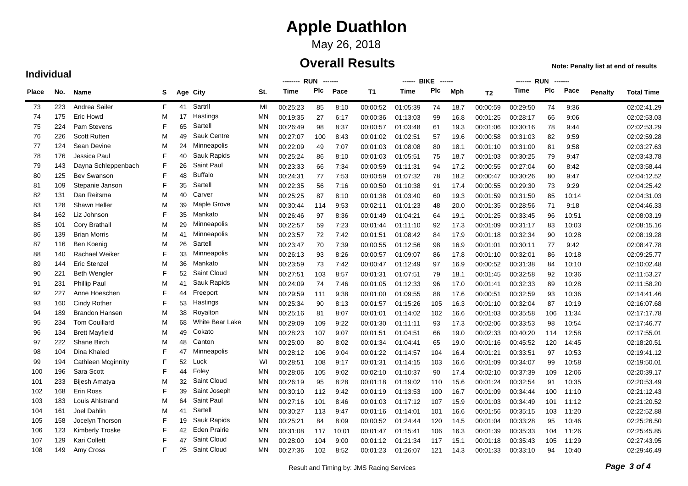## May 26, 2018

### **Overall Results**

**Note: Penalty list at end of results**

|              |     |                           |    |    | <b>RUN</b><br>-------- |           |          |     |       | ------ BIKE | ------      | ------- RUN<br>-------- |      |                |             |     |       |                |                   |
|--------------|-----|---------------------------|----|----|------------------------|-----------|----------|-----|-------|-------------|-------------|-------------------------|------|----------------|-------------|-----|-------|----------------|-------------------|
| <b>Place</b> | No. | Name                      | S  |    | Age City               | St.       | Time     | Plc | Pace  | <b>T1</b>   | <b>Time</b> | Plc                     | Mph  | T <sub>2</sub> | <b>Time</b> | Plc | Pace  | <b>Penalty</b> | <b>Total Time</b> |
| 73           | 223 | Andrea Sailer             | F. | 41 | Sartril                | MI        | 00:25:23 | 85  | 8:10  | 00:00:52    | 01:05:39    | 74                      | 18.7 | 00:00:59       | 00:29:50    | 74  | 9:36  |                | 02:02:41.29       |
| 74           | 175 | Eric Howd                 | M  | 17 | Hastings               | MN        | 00:19:35 | 27  | 6:17  | 00:00:36    | 01:13:03    | 99                      | 16.8 | 00:01:25       | 00:28:17    | 66  | 9:06  |                | 02:02:53.03       |
| 75           | 224 | Pam Stevens               | F  | 65 | Sartell                | MN        | 00:26:49 | 98  | 8:37  | 00:00:57    | 01:03:48    | 61                      | 19.3 | 00:01:06       | 00:30:16    | 78  | 9:44  |                | 02:02:53.29       |
| 76           | 226 | <b>Scott Rutten</b>       | M  | 49 | Sauk Centre            | <b>MN</b> | 00:27:07 | 100 | 8:43  | 00:01:02    | 01:02:51    | 57                      | 19.6 | 00:00:58       | 00:31:03    | 82  | 9:59  |                | 02:02:59.28       |
| 77           | 124 | Sean Devine               | M  | 24 | Minneapolis            | <b>MN</b> | 00:22:09 | 49  | 7:07  | 00:01:03    | 01:08:08    | 80                      | 18.1 | 00:01:10       | 00:31:00    | 81  | 9:58  |                | 02:03:27.63       |
| 78           | 176 | Jessica Paul              | F  | 40 | Sauk Rapids            | <b>MN</b> | 00:25:24 | 86  | 8:10  | 00:01:03    | 01:05:51    | 75                      | 18.7 | 00:01:03       | 00:30:25    | 79  | 9:47  |                | 02:03:43.78       |
| 79           | 143 | Dayna Schleppenbach       | F  | 26 | <b>Saint Paul</b>      | <b>MN</b> | 00:23:33 | 66  | 7:34  | 00:00:59    | 01:11:31    | 94                      | 17.2 | 00:00:55       | 00:27:04    | 60  | 8:42  |                | 02:03:58.44       |
| 80           | 125 | Bev Swanson               | F  | 48 | <b>Buffalo</b>         | <b>MN</b> | 00:24:31 | 77  | 7:53  | 00:00:59    | 01:07:32    | 78                      | 18.2 | 00:00:47       | 00:30:26    | 80  | 9:47  |                | 02:04:12.52       |
| 81           | 109 | Stepanie Janson           | F  | 35 | Sartell                | <b>MN</b> | 00:22:35 | 56  | 7:16  | 00:00:50    | 01:10:38    | 91                      | 17.4 | 00:00:55       | 00:29:30    | 73  | 9:29  |                | 02:04:25.42       |
| 82           | 131 | Dan Reitsma               | M  | 40 | Carver                 | <b>MN</b> | 00:25:25 | 87  | 8:10  | 00:01:38    | 01:03:40    | 60                      | 19.3 | 00:01:59       | 00:31:50    | 85  | 10:14 |                | 02:04:31.03       |
| 83           | 128 | Shawn Heller              | M  | 39 | Maple Grove            | <b>MN</b> | 00:30:44 | 114 | 9:53  | 00:02:11    | 01:01:23    | 48                      | 20.0 | 00:01:35       | 00:28:56    | 71  | 9:18  |                | 02:04:46.33       |
| 84           | 162 | Liz Johnson               | F  | 35 | Mankato                | <b>MN</b> | 00:26:46 | 97  | 8:36  | 00:01:49    | 01:04:21    | 64                      | 19.1 | 00:01:25       | 00:33:45    | 96  | 10:51 |                | 02:08:03.19       |
| 85           | 101 | <b>Cory Brathall</b>      | M  | 29 | Minneapolis            | <b>MN</b> | 00:22:57 | 59  | 7:23  | 00:01:44    | 01:11:10    | 92                      | 17.3 | 00:01:09       | 00:31:17    | 83  | 10:03 |                | 02:08:15.16       |
| 86           | 139 | <b>Brian Morris</b>       | M  | 41 | Minneapolis            | ΜN        | 00:23:57 | 72  | 7:42  | 00:01:51    | 01:08:42    | 84                      | 17.9 | 00:01:18       | 00:32:34    | 90  | 10:28 |                | 02:08:19.28       |
| 87           | 116 | Ben Koenig                | M  | 26 | Sartell                | <b>MN</b> | 00:23:47 | 70  | 7:39  | 00:00:55    | 01:12:56    | 98                      | 16.9 | 00:01:01       | 00:30:11    | 77  | 9:42  |                | 02:08:47.78       |
| 88           | 140 | <b>Rachael Weiker</b>     | F  | 33 | Minneapolis            | <b>MN</b> | 00:26:13 | 93  | 8:26  | 00:00:57    | 01:09:07    | 86                      | 17.8 | 00:01:10       | 00:32:01    | 86  | 10:18 |                | 02:09:25.77       |
| 89           | 144 | <b>Eric Stenzel</b>       | M  | 36 | Mankato                | <b>MN</b> | 00:23:59 | 73  | 7:42  | 00:00:47    | 01:12:49    | 97                      | 16.9 | 00:00:52       | 00:31:38    | 84  | 10:10 |                | 02:10:02.48       |
| 90           | 221 | <b>Beth Wengler</b>       | F  | 52 | Saint Cloud            | <b>MN</b> | 00:27:51 | 103 | 8:57  | 00:01:31    | 01:07:51    | 79                      | 18.1 | 00:01:45       | 00:32:58    | 92  | 10:36 |                | 02:11:53.27       |
| 91           | 231 | <b>Phillip Paul</b>       | M  | 41 | Sauk Rapids            | MN        | 00:24:09 | 74  | 7:46  | 00:01:05    | 01:12:33    | 96                      | 17.0 | 00:01:41       | 00:32:33    | 89  | 10:28 |                | 02:11:58.20       |
| 92           | 227 | Anne Hoeschen             | F  | 44 | Freeport               | <b>MN</b> | 00:29:59 | 111 | 9:38  | 00:01:00    | 01:09:55    | 88                      | 17.6 | 00:00:51       | 00:32:59    | 93  | 10:36 |                | 02:14:41.46       |
| 93           | 160 | <b>Cindy Rother</b>       | F  | 53 | Hastings               | <b>MN</b> | 00:25:34 | 90  | 8:13  | 00:01:57    | 01:15:26    | 105                     | 16.3 | 00:01:10       | 00:32:04    | 87  | 10:19 |                | 02:16:07.68       |
| 94           | 189 | <b>Brandon Hansen</b>     | M  | 38 | Royalton               | <b>MN</b> | 00:25:16 | 81  | 8:07  | 00:01:01    | 01:14:02    | 102                     | 16.6 | 00:01:03       | 00:35:58    | 106 | 11:34 |                | 02:17:17.78       |
| 95           | 234 | <b>Tom Couillard</b>      | M  | 68 | <b>White Bear Lake</b> | <b>MN</b> | 00:29:09 | 109 | 9:22  | 00:01:30    | 01:11:11    | 93                      | 17.3 | 00:02:06       | 00:33:53    | 98  | 10:54 |                | 02:17:46.77       |
| 96           | 134 | <b>Brett Mayfield</b>     | M  | 49 | Cokato                 | MN        | 00:28:23 | 107 | 9:07  | 00:01:51    | 01:04:51    | 66                      | 19.0 | 00:02:33       | 00:40:20    | 114 | 12:58 |                | 02:17:55.01       |
| 97           | 222 | Shane Birch               | M  | 48 | Canton                 | <b>MN</b> | 00:25:00 | 80  | 8:02  | 00:01:34    | 01:04:41    | 65                      | 19.0 | 00:01:16       | 00:45:52    | 120 | 14:45 |                | 02:18:20.51       |
| 98           | 104 | Dina Khaled               | F  | 47 | Minneapolis            | <b>MN</b> | 00:28:12 | 106 | 9:04  | 00:01:22    | 01:14:57    | 104                     | 16.4 | 00:01:21       | 00:33:51    | 97  | 10:53 |                | 02:19:41.12       |
| 99           | 194 | <b>Cathleen Mcginnity</b> | F  | 52 | Luck                   | WI        | 00:28:51 | 108 | 9:17  | 00:01:31    | 01:14:15    | 103                     | 16.6 | 00:01:09       | 00:34:07    | 99  | 10:58 |                | 02:19:50.01       |
| 100          | 196 | Sara Scott                | F  | 44 | Foley                  | <b>MN</b> | 00:28:06 | 105 | 9:02  | 00:02:10    | 01:10:37    | 90                      | 17.4 | 00:02:10       | 00:37:39    | 109 | 12:06 |                | 02:20:39.17       |
| 101          | 233 | Bijesh Amatya             | M  | 32 | Saint Cloud            | <b>MN</b> | 00:26:19 | 95  | 8:28  | 00:01:18    | 01:19:02    | 110                     | 15.6 | 00:01:24       | 00:32:54    | 91  | 10:35 |                | 02:20:53.49       |
| 102          | 168 | Erin Ross                 | F  | 39 | Saint Joseph           | <b>MN</b> | 00:30:10 | 112 | 9:42  | 00:01:19    | 01:13:53    | 100                     | 16.7 | 00:01:09       | 00:34:44    | 100 | 11:10 |                | 02:21:12.43       |
| 103          | 183 | Louis Ahlstrand           | M  | 64 | Saint Paul             | MN        | 00:27:16 | 101 | 8:46  | 00:01:03    | 01:17:12    | 107                     | 15.9 | 00:01:03       | 00:34:49    | 101 | 11:12 |                | 02:21:20.52       |
| 104          | 161 | Joel Dahlin               | M  | 41 | Sartell                | <b>MN</b> | 00:30:27 | 113 | 9:47  | 00:01:16    | 01:14:01    | 101                     | 16.6 | 00:01:56       | 00:35:15    | 103 | 11:20 |                | 02:22:52.88       |
| 105          | 158 | Jocelyn Thorson           | F  | 19 | Sauk Rapids            | <b>MN</b> | 00:25:21 | 84  | 8:09  | 00:00:52    | 01:24:44    | 120                     | 14.5 | 00:01:04       | 00:33:28    | 95  | 10:46 |                | 02:25:26.50       |
| 106          | 123 | Kimberly Troske           | F  | 42 | <b>Eden Prairie</b>    | <b>MN</b> | 00:31:08 | 117 | 10:01 | 00:01:47    | 01:15:41    | 106                     | 16.3 | 00:01:39       | 00:35:33    | 104 | 11:26 |                | 02:25:45.85       |
| 107          | 129 | Kari Collett              | F  | 47 | Saint Cloud            | <b>MN</b> | 00:28:00 | 104 | 9:00  | 00:01:12    | 01:21:34    | 117                     | 15.1 | 00:01:18       | 00:35:43    | 105 | 11:29 |                | 02:27:43.95       |
| 108          | 149 | Amy Cross                 | F  | 25 | <b>Saint Cloud</b>     | <b>MN</b> | 00:27:36 | 102 | 8:52  | 00:01:23    | 01:26:07    | 121                     | 14.3 | 00:01:33       | 00:33:10    | 94  | 10:40 |                | 02:29:46.49       |

#### **Individual**